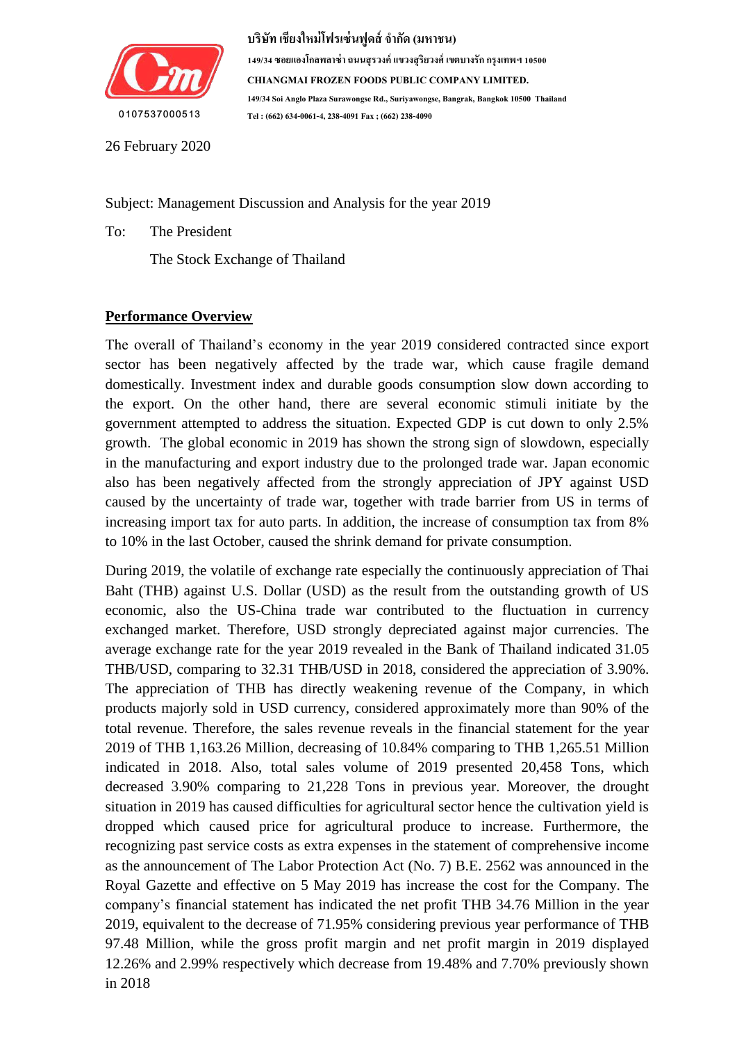

**149/34 ซอยแองโกลพลำซ่ำถนนสุรวงค์แขวงสุริยวงศ์เขตบำงรักกรุงเทพฯ 10500 CHIANGMAI FROZEN FOODS PUBLIC COMPANY LIMITED. 149/34 Soi Anglo Plaza Surawongse Rd., Suriyawongse, Bangrak, Bangkok 10500 Thailand Tel : (662) 634-0061-4, 238-4091 Fax ; (662) 238-4090**

26 February 2020

Subject: Management Discussion and Analysis for the year 2019

To: The President

The Stock Exchange of Thailand

### **Performance Overview**

The overall of Thailand's economy in the year 2019 considered contracted since export sector has been negatively affected by the trade war, which cause fragile demand domestically. Investment index and durable goods consumption slow down according to the export. On the other hand, there are several economic stimuli initiate by the government attempted to address the situation. Expected GDP is cut down to only 2.5% growth. The global economic in 2019 has shown the strong sign of slowdown, especially in the manufacturing and export industry due to the prolonged trade war. Japan economic also has been negatively affected from the strongly appreciation of JPY against USD caused by the uncertainty of trade war, together with trade barrier from US in terms of increasing import tax for auto parts. In addition, the increase of consumption tax from 8% to 10% in the last October, caused the shrink demand for private consumption.

During 2019, the volatile of exchange rate especially the continuously appreciation of Thai Baht (THB) against U.S. Dollar (USD) as the result from the outstanding growth of US economic, also the US-China trade war contributed to the fluctuation in currency exchanged market. Therefore, USD strongly depreciated against major currencies. The average exchange rate for the year 2019 revealed in the Bank of Thailand indicated 31.05 THB/USD, comparing to 32.31 THB/USD in 2018, considered the appreciation of 3.90%. The appreciation of THB has directly weakening revenue of the Company, in which products majorly sold in USD currency, considered approximately more than 90% of the total revenue. Therefore, the sales revenue reveals in the financial statement for the year 2019 of THB 1,163.26 Million, decreasing of 10.84% comparing to THB 1,265.51 Million indicated in 2018. Also, total sales volume of 2019 presented 20,458 Tons, which decreased 3.90% comparing to 21,228 Tons in previous year. Moreover, the drought situation in 2019 has caused difficulties for agricultural sector hence the cultivation yield is dropped which caused price for agricultural produce to increase. Furthermore, the recognizing past service costs as extra expenses in the statement of comprehensive income as the announcement of The Labor Protection Act (No. 7) B.E. 2562 was announced in the Royal Gazette and effective on 5 May 2019 has increase the cost for the Company. The company's financial statement has indicated the net profit THB 34.76 Million in the year 2019, equivalent to the decrease of 71.95% considering previous year performance of THB 97.48 Million, while the gross profit margin and net profit margin in 2019 displayed 12.26% and 2.99% respectively which decrease from 19.48% and 7.70% previously shown in 2018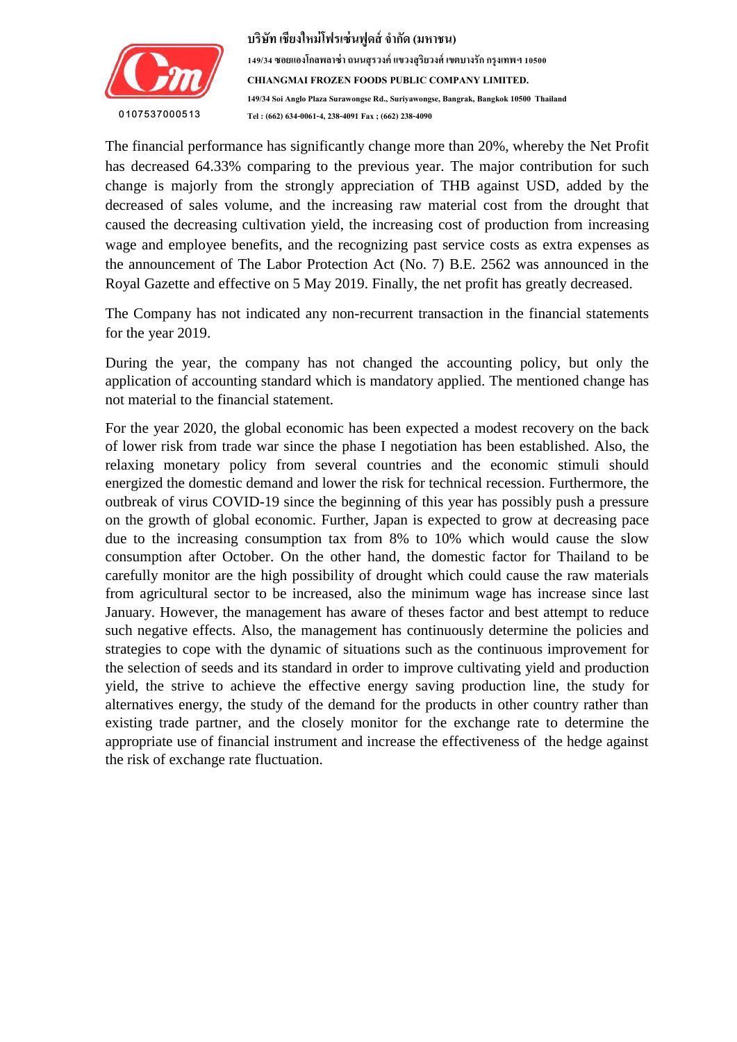

The financial performance has significantly change more than 20%, whereby the Net Profit reas decreased 04.55% comparing to the previous year. The major contribution for such change is majorly from the strongly appreciation of THB against USD, added by the decreased of sales volume, and the increasing raw material cost from the drought that has decreased 64.33% comparing to the previous year. The major contribution for such caused the decreasing cultivation yield, the increasing cost of production from increasing wage and employee benefits, and the recognizing past service costs as extra expenses as the announcement of The Labor Protection Act (No. 7) B.E. 2562 was announced in the Royal Gazette and effective on 5 May 2019. Finally, the net profit has greatly decreased.

The Company has not indicated any non-recurrent transaction in the financial statements for the year 2019.

During the year, the company has not changed the accounting policy, but only the application of accounting standard which is mandatory applied. The mentioned change has not material to the financial statement.

For the year 2020, the global economic has been expected a modest recovery on the back of lower risk from trade war since the phase I negotiation has been established. Also, the relaxing monetary policy from several countries and the economic stimuli should energized the domestic demand and lower the risk for technical recession. Furthermore, the outbreak of virus COVID-19 since the beginning of this year has possibly push a pressure on the growth of global economic. Further, Japan is expected to grow at decreasing pace due to the increasing consumption tax from 8% to 10% which would cause the slow consumption after October. On the other hand, the domestic factor for Thailand to be carefully monitor are the high possibility of drought which could cause the raw materials from agricultural sector to be increased, also the minimum wage has increase since last January. However, the management has aware of theses factor and best attempt to reduce such negative effects. Also, the management has continuously determine the policies and strategies to cope with the dynamic of situations such as the continuous improvement for the selection of seeds and its standard in order to improve cultivating yield and production yield, the strive to achieve the effective energy saving production line, the study for alternatives energy, the study of the demand for the products in other country rather than existing trade partner, and the closely monitor for the exchange rate to determine the appropriate use of financial instrument and increase the effectiveness of the hedge against the risk of exchange rate fluctuation.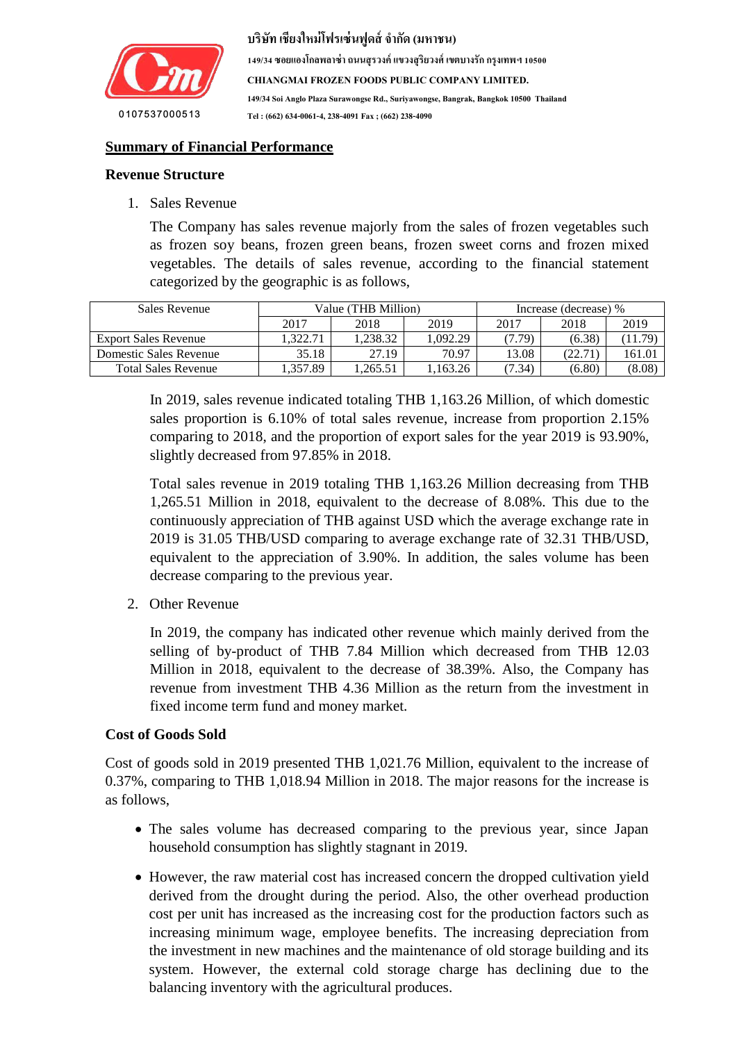

**149/34 ซอยแองโกลพลำซ่ำถนนสุรวงค์แขวงสุริยวงศ์เขตบำงรักกรุงเทพฯ 10500 CHIANGMAI FROZEN FOODS PUBLIC COMPANY LIMITED. 149/34 Soi Anglo Plaza Surawongse Rd., Suriyawongse, Bangrak, Bangkok 10500 Thailand Tel : (662) 634-0061-4, 238-4091 Fax ; (662) 238-4090**

## **<u>Summary of Financial Performance</u>**

### **Revenue Structure**

1. Sales Revenue

The Company has sales revenue majorly from the sales of frozen vegetables such as frozen soy beans, frozen green beans, frozen sweet corns and frozen mixed vegetables. The details of sales revenue, according to the financial statement categorized by the geographic is as follows,

| Sales Revenue               |         | Value (THB Million) | Increase (decrease) % |        |         |         |
|-----------------------------|---------|---------------------|-----------------------|--------|---------|---------|
|                             | 2017    | 2018                | 2019                  | 2017   | 2018    | 2019    |
| <b>Export Sales Revenue</b> | .322.71 | .238.32             | 1.092.29              | (7.79) | (6.38)  | (11.79) |
| Domestic Sales Revenue      | 35.18   | 27.19               | 70.97                 | 13.08  | (22.71) | 161.01  |
| <b>Total Sales Revenue</b>  | .357.89 | .265.51             | .163.26               | (7.34) | (6.80)  | (8.08)  |

In 2019, sales revenue indicated totaling THB 1,163.26 Million, of which domestic sales proportion is 6.10% of total sales revenue, increase from proportion 2.15% comparing to 2018, and the proportion of export sales for the year 2019 is 93.90%, slightly decreased from 97.85% in 2018.

Total sales revenue in 2019 totaling THB 1,163.26 Million decreasing from THB 1,265.51 Million in 2018, equivalent to the decrease of 8.08%. This due to the continuously appreciation of THB against USD which the average exchange rate in 2019 is 31.05 THB/USD comparing to average exchange rate of 32.31 THB/USD, equivalent to the appreciation of 3.90%. In addition, the sales volume has been decrease comparing to the previous year.

2. Other Revenue

In 2019, the company has indicated other revenue which mainly derived from the selling of by-product of THB 7.84 Million which decreased from THB 12.03 Million in 2018, equivalent to the decrease of 38.39%. Also, the Company has revenue from investment THB 4.36 Million as the return from the investment in fixed income term fund and money market.

### **Cost of Goods Sold**

Cost of goods sold in 2019 presented THB 1,021.76 Million, equivalent to the increase of 0.37%, comparing to THB 1,018.94 Million in 2018. The major reasons for the increase is as follows,

- The sales volume has decreased comparing to the previous year, since Japan household consumption has slightly stagnant in 2019.
- However, the raw material cost has increased concern the dropped cultivation yield derived from the drought during the period. Also, the other overhead production cost per unit has increased as the increasing cost for the production factors such as increasing minimum wage, employee benefits. The increasing depreciation from the investment in new machines and the maintenance of old storage building and its system. However, the external cold storage charge has declining due to the balancing inventory with the agricultural produces.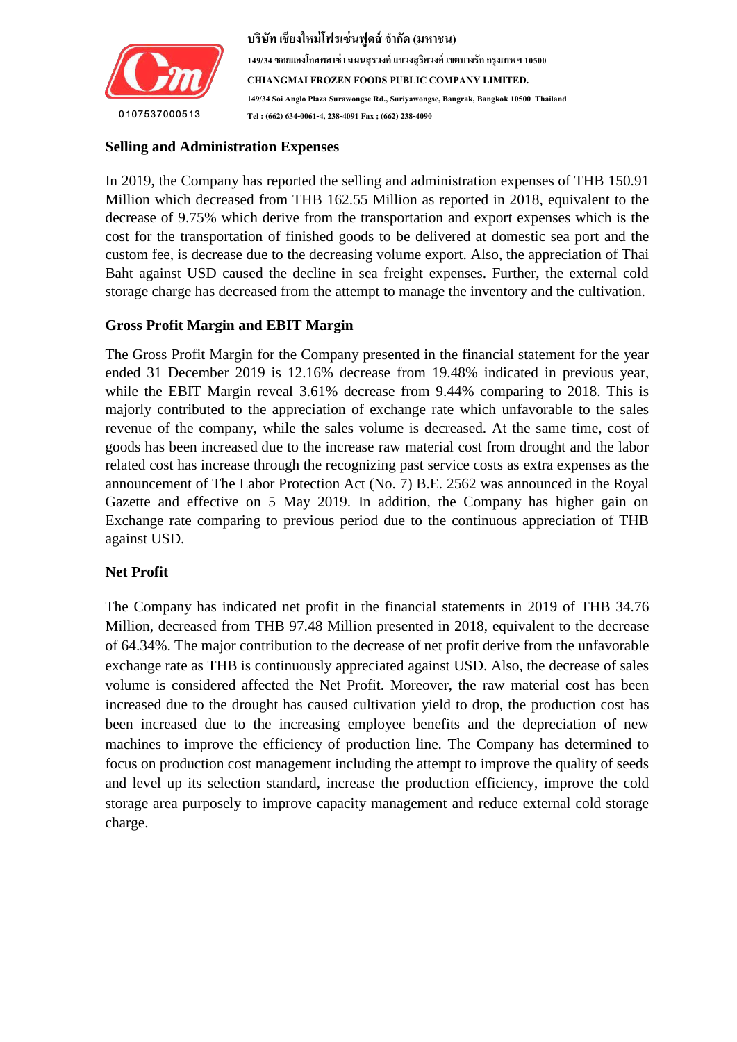

# $Selling and Administration$  Expenses

In 2019, the Company has reported the selling and administration expenses of THB 150.91 Million which decreased from THB 162.55 Million as reported in 2018, equivalent to the decrease of 9.75% which derive from the transportation and export expenses which is the cost for the transportation of finished goods to be delivered at domestic sea port and the custom fee, is decrease due to the decreasing volume export. Also, the appreciation of Thai Baht against USD caused the decline in sea freight expenses. Further, the external cold storage charge has decreased from the attempt to manage the inventory and the cultivation.

### **Gross Profit Margin and EBIT Margin**

The Gross Profit Margin for the Company presented in the financial statement for the year ended 31 December 2019 is 12.16% decrease from 19.48% indicated in previous year, while the EBIT Margin reveal 3.61% decrease from 9.44% comparing to 2018. This is majorly contributed to the appreciation of exchange rate which unfavorable to the sales revenue of the company, while the sales volume is decreased. At the same time, cost of goods has been increased due to the increase raw material cost from drought and the labor related cost has increase through the recognizing past service costs as extra expenses as the announcement of The Labor Protection Act (No. 7) B.E. 2562 was announced in the Royal Gazette and effective on 5 May 2019. In addition, the Company has higher gain on Exchange rate comparing to previous period due to the continuous appreciation of THB against USD.

### **Net Profit**

The Company has indicated net profit in the financial statements in 2019 of THB 34.76 Million, decreased from THB 97.48 Million presented in 2018, equivalent to the decrease of 64.34%. The major contribution to the decrease of net profit derive from the unfavorable exchange rate as THB is continuously appreciated against USD. Also, the decrease of sales volume is considered affected the Net Profit. Moreover, the raw material cost has been increased due to the drought has caused cultivation yield to drop, the production cost has been increased due to the increasing employee benefits and the depreciation of new machines to improve the efficiency of production line. The Company has determined to focus on production cost management including the attempt to improve the quality of seeds and level up its selection standard, increase the production efficiency, improve the cold storage area purposely to improve capacity management and reduce external cold storage charge.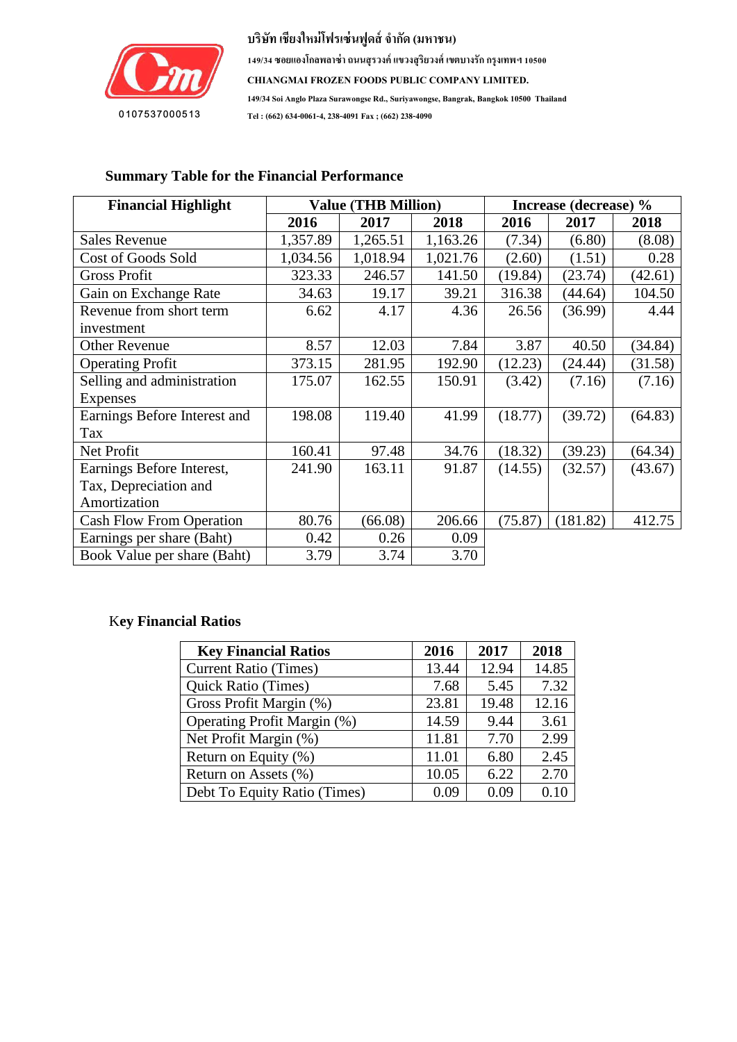

**149/34 ซอยแองโกลพลำซ่ำถนนสุรวงค์แขวงสุริยวงศ์เขตบำงรักกรุงเทพฯ 10500 CHIANGMAI FROZEN FOODS PUBLIC COMPANY LIMITED. 149/34 Soi Anglo Plaza Surawongse Rd., Suriyawongse, Bangrak, Bangkok 10500 Thailand Tel : (662) 634-0061-4, 238-4091 Fax ; (662) 238-4090**

#### Value (THB Million) **Financial Highlight Value (THB Million) Increase (decrease) % 2016 2017 2018 2016 2017 2018** Sales Revenue 1,357.89 1,265.51 1,163.26 (7.34) (6.80) (8.08) Cost of Goods Sold 1,034.56 1,018.94 1,021.76 (2.60) (1.51) 0.28 Gross Profit 323.33 | 246.57 | 141.50 | (19.84) | (23.74) | (42.61) Gain on Exchange Rate 19.4.63 19.17 39.21 316.38 (44.64) 104.50 Revenue from short term investment  $6.62$  4.17 4.36 26.56 (36.99) 4.44 Other Revenue 8.57 12.03 7.84 3.87 40.50 (34.84) Operating Profit 373.15 281.95 192.90 (12.23) (24.44) (31.58) Selling and administration Expenses  $175.07$  162.55 150.91 (3.42) (7.16) (7.16) Earnings Before Interest and Tax 198.08 119.40 41.99 (18.77) (39.72) (64.83) Net Profit 160.41 | 160.41 | 97.48 | 34.76 | (18.32) | (39.23) | (64.34) Earnings Before Interest, Tax, Depreciation and Amortization  $241.90$  163.11 91.87 (14.55) (32.57) (43.67) Cash Flow From Operation 80.76 (66.08) 206.66 (75.87) (181.82) 412.75 Earnings per share  $(Baht)$   $0.42$   $0.26$   $0.09$ Book Value per share (Baht) 3.79 3.74 3.70

### **Summary Table for the Financial Performance**

### K**ey Financial Ratios**

| <b>Key Financial Ratios</b>  | 2016  | 2017  | 2018  |
|------------------------------|-------|-------|-------|
| <b>Current Ratio (Times)</b> | 13.44 | 12.94 | 14.85 |
| <b>Quick Ratio (Times)</b>   | 7.68  | 5.45  | 7.32  |
| Gross Profit Margin (%)      | 23.81 | 19.48 | 12.16 |
| Operating Profit Margin (%)  | 14.59 | 9.44  | 3.61  |
| Net Profit Margin (%)        | 11.81 | 7.70  | 2.99  |
| Return on Equity (%)         | 11.01 | 6.80  | 2.45  |
| Return on Assets (%)         | 10.05 | 6.22  | 2.70  |
| Debt To Equity Ratio (Times) | 0.09  | 0.09  | 0.10  |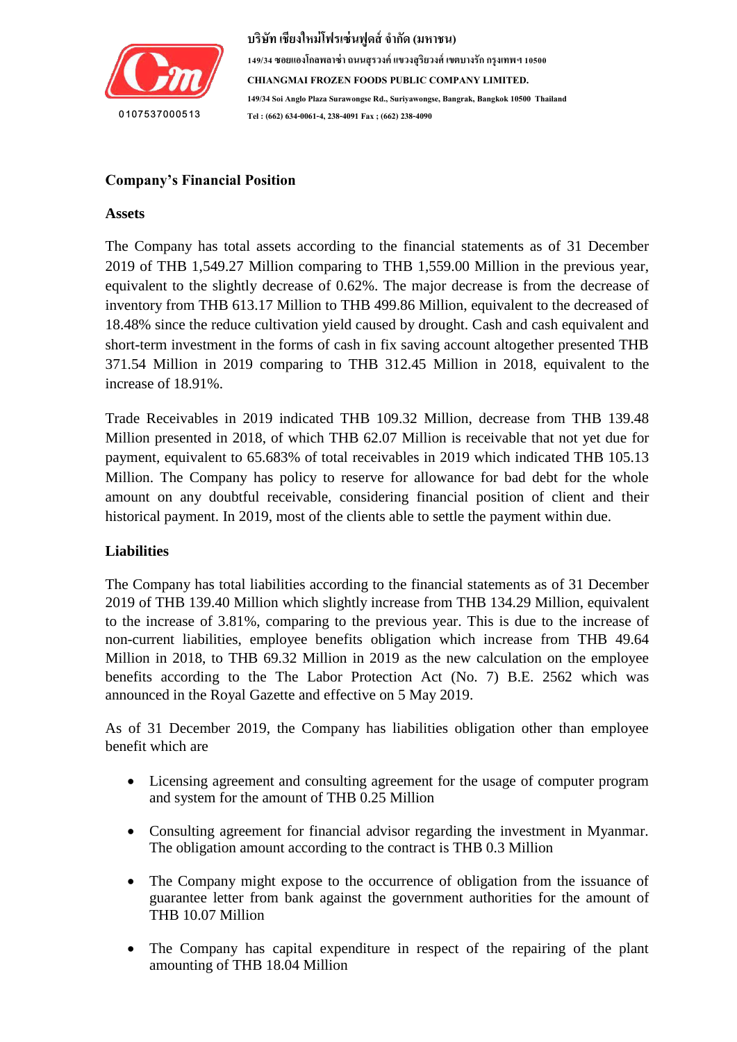

#### $\mathbf{P}$ osition **Company's Financial Position**

### **Assets**

The Company has total assets according to the financial statements as of 31 December 2019 of THB 1,549.27 Million comparing to THB 1,559.00 Million in the previous year, equivalent to the slightly decrease of 0.62%. The major decrease is from the decrease of inventory from THB 613.17 Million to THB 499.86 Million, equivalent to the decreased of 18.48% since the reduce cultivation yield caused by drought. Cash and cash equivalent and short-term investment in the forms of cash in fix saving account altogether presented THB 371.54 Million in 2019 comparing to THB 312.45 Million in 2018, equivalent to the increase of 18.91%.

Trade Receivables in 2019 indicated THB 109.32 Million, decrease from THB 139.48 Million presented in 2018, of which THB 62.07 Million is receivable that not yet due for payment, equivalent to 65.683% of total receivables in 2019 which indicated THB 105.13 Million. The Company has policy to reserve for allowance for bad debt for the whole amount on any doubtful receivable, considering financial position of client and their historical payment. In 2019, most of the clients able to settle the payment within due.

### **Liabilities**

The Company has total liabilities according to the financial statements as of 31 December 2019 of THB 139.40 Million which slightly increase from THB 134.29 Million, equivalent to the increase of 3.81%, comparing to the previous year. This is due to the increase of non-current liabilities, employee benefits obligation which increase from THB 49.64 Million in 2018, to THB 69.32 Million in 2019 as the new calculation on the employee benefits according to the The Labor Protection Act (No. 7) B.E. 2562 which was announced in the Royal Gazette and effective on 5 May 2019.

As of 31 December 2019, the Company has liabilities obligation other than employee benefit which are

- Licensing agreement and consulting agreement for the usage of computer program and system for the amount of THB 0.25 Million
- Consulting agreement for financial advisor regarding the investment in Myanmar. The obligation amount according to the contract is THB 0.3 Million
- The Company might expose to the occurrence of obligation from the issuance of guarantee letter from bank against the government authorities for the amount of THB 10.07 Million
- The Company has capital expenditure in respect of the repairing of the plant amounting of THB 18.04 Million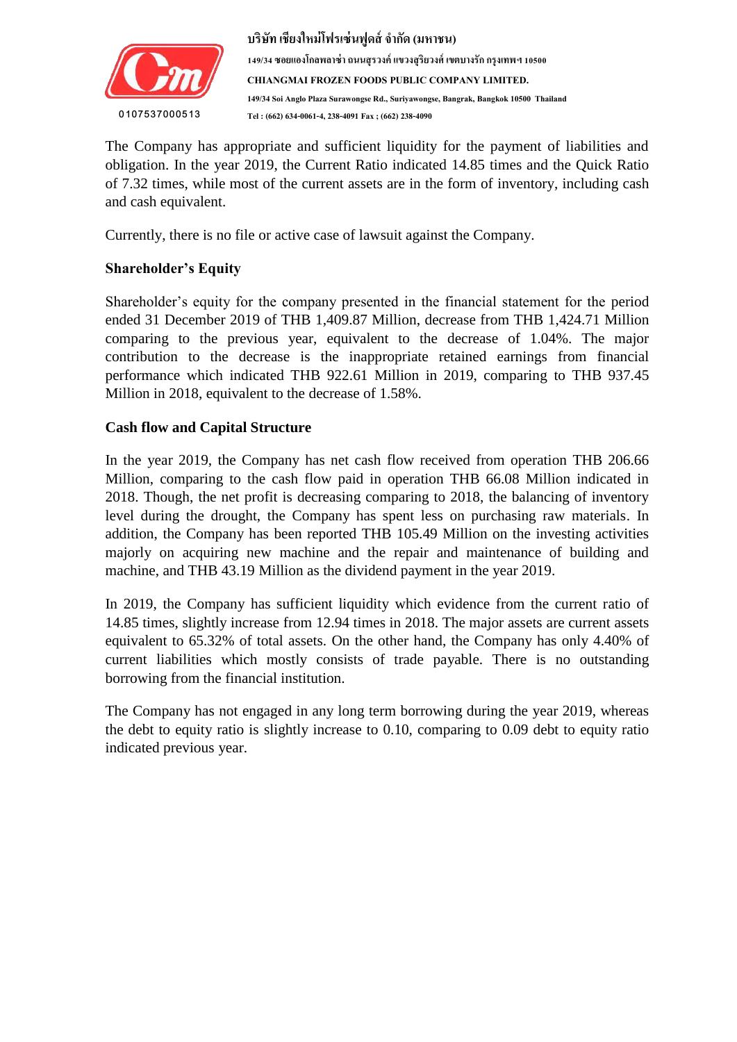

The Company has appropriate and sufficient liquidity for the payment of liabilities and oongation. In the year 2012, the current reatio menetical 14.05 times and the guitar reatio of 7.32 times, while most of the current assets are in the form of inventory, including cash เพื่อเปลี่ยนแปลงกำรจัดรูปแบบของกล่องข้อควำมของค ำอ้ำงอิงที่ดึงมำ obligation. In the year 2019, the Current Ratio indicated 14.85 times and the Quick Ratio and cash equivalent.

Currently, there is no file or active case of lawsuit against the Company.

## **Shareholder's Equity**

Shareholder's equity for the company presented in the financial statement for the period ended 31 December 2019 of THB 1,409.87 Million, decrease from THB 1,424.71 Million comparing to the previous year, equivalent to the decrease of 1.04%. The major contribution to the decrease is the inappropriate retained earnings from financial performance which indicated THB 922.61 Million in 2019, comparing to THB 937.45 Million in 2018, equivalent to the decrease of 1.58%.

### **Cash flow and Capital Structure**

In the year 2019, the Company has net cash flow received from operation THB 206.66 Million, comparing to the cash flow paid in operation THB 66.08 Million indicated in 2018. Though, the net profit is decreasing comparing to 2018, the balancing of inventory level during the drought, the Company has spent less on purchasing raw materials. In addition, the Company has been reported THB 105.49 Million on the investing activities majorly on acquiring new machine and the repair and maintenance of building and machine, and THB 43.19 Million as the dividend payment in the year 2019.

In 2019, the Company has sufficient liquidity which evidence from the current ratio of 14.85 times, slightly increase from 12.94 times in 2018. The major assets are current assets equivalent to 65.32% of total assets. On the other hand, the Company has only 4.40% of current liabilities which mostly consists of trade payable. There is no outstanding borrowing from the financial institution.

The Company has not engaged in any long term borrowing during the year 2019, whereas the debt to equity ratio is slightly increase to 0.10, comparing to 0.09 debt to equity ratio indicated previous year.